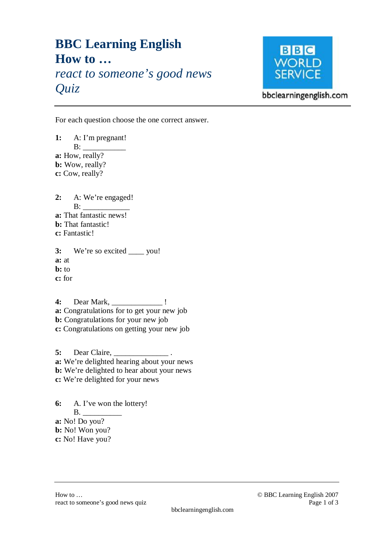## **BBC Learning English How to …**  *react to someone's good news Quiz*



bbclearningenglish.com

For each question choose the one correct answer.

**1:** A: I'm pregnant!  $B:$ **a:** How, really? **b:** Wow, really? **c:** Cow, really? **2:** A: We're engaged!  $B:$ **a:** That fantastic news! **b:** That fantastic! **c:** Fantastic! **3:** We're so excited \_\_\_\_ you! **a:** at **b:** to **c:** for **4:** Dear Mark, \_\_\_\_\_\_\_\_\_\_\_\_\_ ! **a:** Congratulations for to get your new job **b:** Congratulations for your new job **c:** Congratulations on getting your new job **5:** Dear Claire, \_\_\_\_\_\_\_\_\_\_\_\_\_\_ . **a:** We're delighted hearing about your news **b:** We're delighted to hear about your news **c:** We're delighted for your news

**6:** A. I've won the lottery!  $B.$ **a:** No! Do you? **b:** No! Won you? **c:** No! Have you?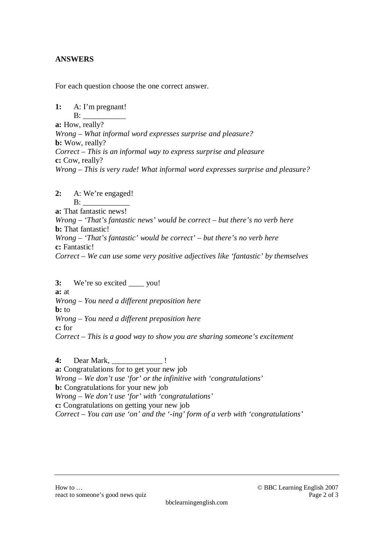## **ANSWERS**

For each question choose the one correct answer.

**1:** A: I'm pregnant!  $B:$ **a:** How, really? *Wrong – What informal word expresses surprise and pleasure?*  **b:** Wow, really? *Correct – This is an informal way to express surprise and pleasure*  **c:** Cow, really? *Wrong – This is very rude! What informal word expresses surprise and pleasure?* 

## **2:** A: We're engaged!

 $\mathbf{B}$ : **a:** That fantastic news! *Wrong – 'That's fantastic news' would be correct – but there's no verb here*  **b:** That fantastic! *Wrong – 'That's fantastic' would be correct' – but there's no verb here*  **c:** Fantastic! *Correct – We can use some very positive adjectives like 'fantastic' by themselves* 

**3:** We're so excited \_\_\_\_ you! **a:** at *Wrong – You need a different preposition here*  **b:** to *Wrong – You need a different preposition here* **c:** for *Correct – This is a good way to show you are sharing someone's excitement* 

**4:** Dear Mark, \_\_\_\_\_\_\_\_\_\_\_\_\_ ! **a:** Congratulations for to get your new job *Wrong – We don't use 'for' or the infinitive with 'congratulations'* **b:** Congratulations for your new job *Wrong – We don't use 'for' with 'congratulations'*  **c:** Congratulations on getting your new job *Correct – You can use 'on' and the '-ing' form of a verb with 'congratulations'*